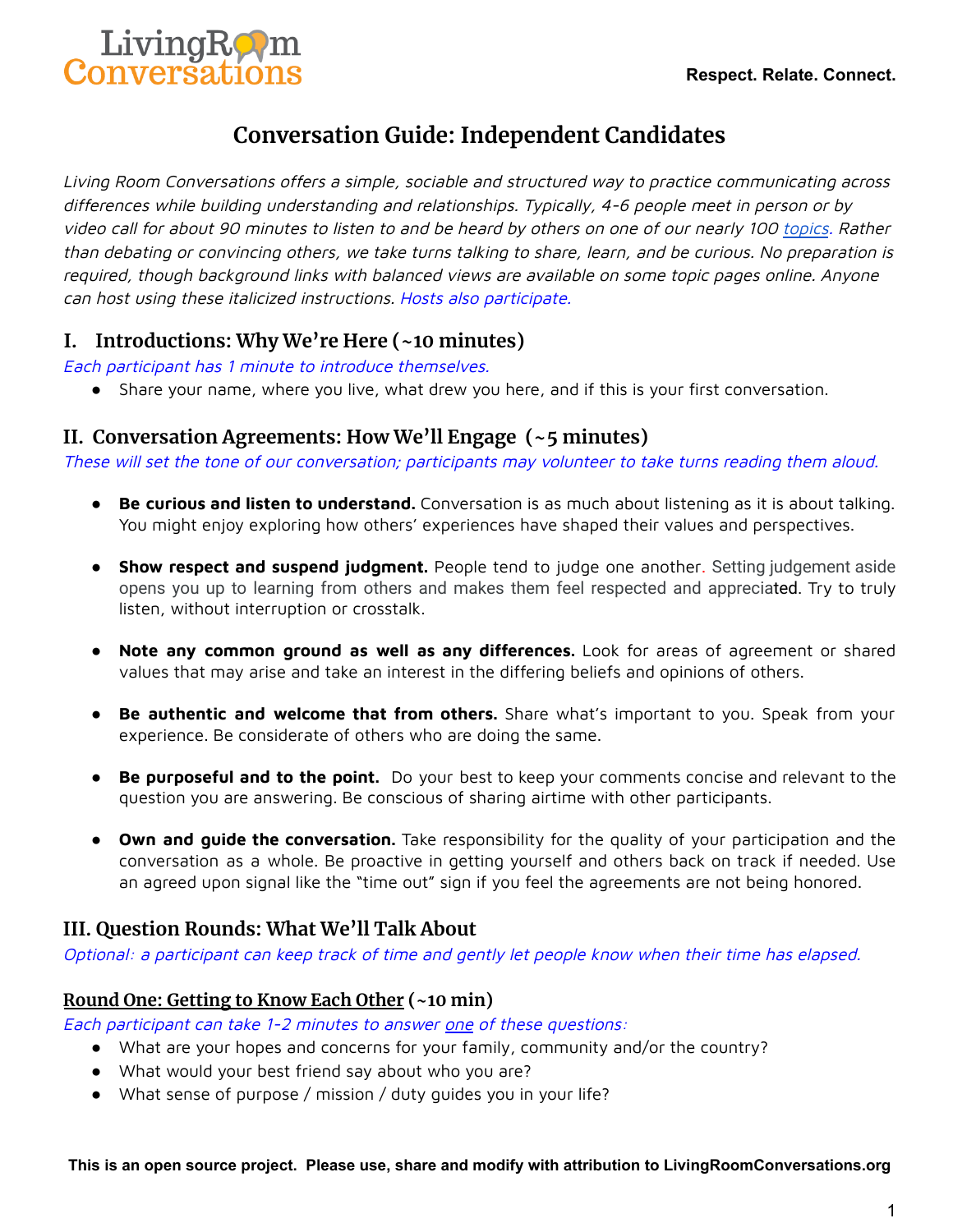

# **Conversation Guide: Independent Candidates**

Living Room Conversations offers <sup>a</sup> simple, sociable and structured way to practice communicating across differences while building understanding and relationships. Typically, 4-6 people meet in person or by video call for about 90 minutes to listen to and be heard by others on one of our nearly 100 [topics](https://www.livingroomconversations.org/topics/). Rather than debating or convincing others, we take turns talking to share, learn, and be curious. No preparation is required, though background links with balanced views are available on some topic pages online. Anyone can host using these italicized instructions. Hosts also participate.

# **I. Introductions: Why We're Here (~10 minutes)**

Each participant has 1 minute to introduce themselves.

● Share your name, where you live, what drew you here, and if this is your first conversation.

# **II. Conversation Agreements: How We'll Engage (~5 minutes)**

These will set the tone of our conversation; participants may volunteer to take turns reading them aloud.

- **Be curious and listen to understand.** Conversation is as much about listening as it is about talking. You might enjoy exploring how others' experiences have shaped their values and perspectives.
- **Show respect and suspend judgment.** People tend to judge one another. Setting judgement aside opens you up to learning from others and makes them feel respected and appreciated. Try to truly listen, without interruption or crosstalk.
- **Note any common ground as well as any differences.** Look for areas of agreement or shared values that may arise and take an interest in the differing beliefs and opinions of others.
- **Be authentic and welcome that from others.** Share what's important to you. Speak from your experience. Be considerate of others who are doing the same.
- **Be purposeful and to the point.** Do your best to keep your comments concise and relevant to the question you are answering. Be conscious of sharing airtime with other participants.
- **Own and guide the conversation.** Take responsibility for the quality of your participation and the conversation as a whole. Be proactive in getting yourself and others back on track if needed. Use an agreed upon signal like the "time out" sign if you feel the agreements are not being honored.

# **III. Question Rounds: What We'll Talk About**

Optional: <sup>a</sup> participant can keep track of time and gently let people know when their time has elapsed.

### **Round One: Getting to Know Each Other (~10 min)**

Each participant can take 1-2 minutes to answer one of these questions:

- What are your hopes and concerns for your family, community and/or the country?
- What would your best friend say about who you are?
- What sense of purpose / mission / duty guides you in your life?